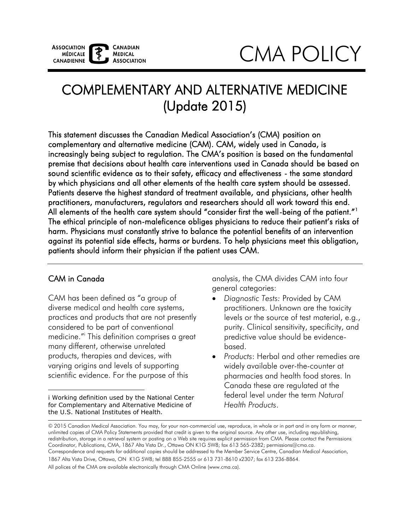

# CMA POLICY

# COMPLEMENTARY AND ALTERNATIVE MEDICINE (Update 2015)

 The ethical principle of non-maleficence obliges physicians to reduce their patient's risks of harm. Physicians must constantly strive to balance the potential benefits of an intervention against its potential side effects, harms or burdens. To help physicians meet this obligation, patients should inform their physician if the patient uses CAM. This statement discusses the Canadian Medical Association's (CMA) position on complementary and alternative medicine (CAM). CAM, widely used in Canada, is increasingly being subject to regulation. The CMA's position is based on the fundamental premise that decisions about health care interventions used in Canada should be based on sound scientific evidence as to their safety, efficacy and effectiveness - the same standard by which physicians and all other elements of the health care system should be assessed. Patients deserve the highest standard of treatment available, and physicians, other health practitioners, manufacturers, regulators and researchers should all work toward this end. All elements of the health care system should "consider first the well-being of the patient."<sup>1</sup>

#### CAM in Canada

CAM has been defined as "a group of diverse medical and health care systems, practices and products that are not presently considered to be part of conventional medicine."i This definition comprises a great many different, otherwise unrelated products, therapies and devices, with varying origins and levels of supporting scientific evidence. For the purpose of this

 $\overline{a}$  i Working definition used by the National Center for Complementary and Alternative Medicine of the U.S. National Institutes of Health.

analysis, the CMA divides CAM into four general categories:

- *Diagnostic Tests:* Provided by CAM practitioners. Unknown are the toxicity levels or the source of test material, e.g., purity. Clinical sensitivity, specificity, and predictive value should be evidencebased.
- *Products*: Herbal and other remedies are widely available over-the-counter at pharmacies and health food stores. In Canada these are regulated at the federal level under the term *Natural Health Products*.

<sup>© 2015</sup> Canadian Medical Association. You may, for your non-commercial use, reproduce, in whole or in part and in any form or manner, unlimited copies of CMA Policy Statements provided that credit is given to the original source. Any other use, including republishing, redistribution, storage in a retrieval system or posting on a Web site requires explicit permission from CMA. Please contact the Permissions Coordinator, Publications, CMA, 1867 Alta Vista Dr., Ottawa ON K1G 5W8; fax 613 565-2382; permissions@cma.ca. Correspondence and requests for additional copies should be addressed to the Member Service Centre, Canadian Medical Association, 1867 Alta Vista Drive, Ottawa, ON K1G 5W8; tel 888 855-2555 or 613 731-8610 x2307; fax 613 236-8864. All polices of the CMA are available electronically through CMA Online (www.cma.ca).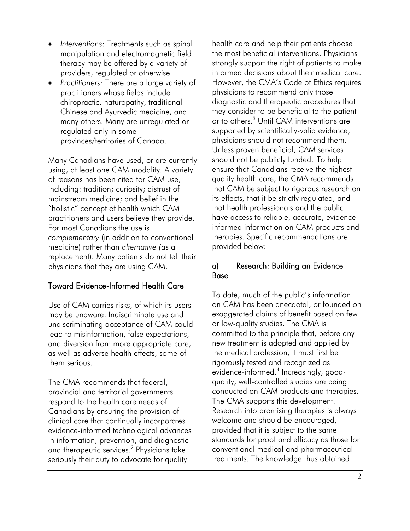- *Interventions*: Treatments such as spinal manipulation and electromagnetic field therapy may be offered by a variety of providers, regulated or otherwise.
- *Practitioners:* There are a large variety of practitioners whose fields include chiropractic, naturopathy, traditional Chinese and Ayurvedic medicine, and many others. Many are unregulated or regulated only in some provinces/territories of Canada.

Many Canadians have used, or are currently using, at least one CAM modality. A variety of reasons has been cited for CAM use, including: tradition; curiosity; distrust of mainstream medicine; and belief in the "holistic" concept of health which CAM practitioners and users believe they provide. For most Canadians the use is *complementary* (in addition to conventional medicine) rather than *alternative (*as a replacement). Many patients do not tell their physicians that they are using CAM.

# Toward Evidence-Informed Health Care

 and diversion from more appropriate care, Use of CAM carries risks, of which its users may be unaware. Indiscriminate use and undiscriminating acceptance of CAM could lead to misinformation, false expectations, as well as adverse health effects, some of them serious.

The CMA recommends that federal, provincial and territorial governments respond to the health care needs of Canadians by ensuring the provision of clinical care that continually incorporates evidence-informed technological advances in information, prevention, and diagnostic and therapeutic services.[2](#page-4-0) Physicians take seriously their duty to advocate for quality

health care and help their patients choose the most beneficial interventions. Physicians strongly support the right of patients to make informed decisions about their medical care. However, the CMA's Code of Ethics requires physicians to recommend only those diagnostic and therapeutic procedures that they consider to be beneficial to the patient or to others.<sup>3</sup> Until CAM interventions are supported by scientifically-valid evidence, physicians should not recommend them. Unless proven beneficial, CAM services should not be publicly funded. To help ensure that Canadians receive the highestquality health care, the CMA recommends that CAM be subject to rigorous research on its effects, that it be strictly regulated, and that health professionals and the public have access to reliable, accurate, evidenceinformed information on CAM products and therapies. Specific recommendations are provided below:

#### a) Research: Building an Evidence Base

To date, much of the public's information on CAM has been anecdotal, or founded on exaggerated claims of benefit based on few or low-quality studies. The CMA is committed to the principle that, before any new treatment is adopted and applied by the medical profession, it must first be rigorously tested and recognized as evidence-informed[.4](#page-4-0) Increasingly, goodquality, well-controlled studies are being conducted on CAM products and therapies. The CMA supports this development. Research into promising therapies is always welcome and should be encouraged, provided that it is subject to the same standards for proof and efficacy as those for conventional medical and pharmaceutical treatments. The knowledge thus obtained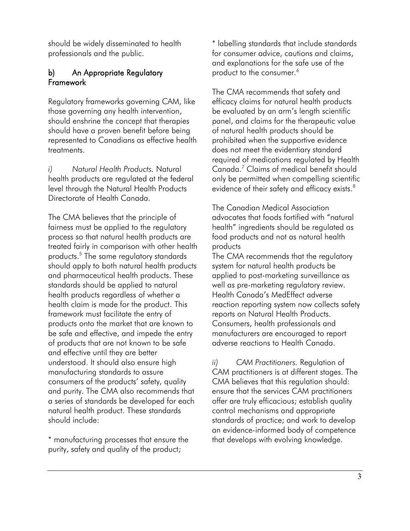should be widely disseminated to health professionals and the public.

# b) An Appropriate Regulatory **Framework**

Regulatory frameworks governing CAM, like those governing any health intervention, should enshrine the concept that therapies should have a proven benefit before being represented to Canadians as effective health treatments.

*i) Natural Health Products.* Natural health products are regulated at the federal level through the Natural Health Products Directorate of Health Canada.

The CMA believes that the principle of fairness must be applied to the regulatory process so that natural health products are treated fairly in comparison with other health products[.5](#page-4-1) The same regulatory standards should apply to both natural health products and pharmaceutical health products. These standards should be applied to natural health products regardless of whether a health claim is made for the product. This framework must facilitate the entry of products onto the market that are known to be safe and effective, and impede the entry of products that are not known to be safe and effective until they are better understood. It should also ensure high manufacturing standards to assure consumers of the products' safety, quality and purity. The CMA also recommends that a series of standards be developed for each natural health product. These standards should include:

\* manufacturing processes that ensure the purity, safety and quality of the product;

\* labelling standards that include standards for consumer advice, cautions and claims, and explanations for the safe use of the product to the consumer.<sup>6</sup>

The CMA recommends that safety and efficacy claims for natural health products be evaluated by an arm's length scientific panel, and claims for the therapeutic value of natural health products should be prohibited when the supportive evidence does not meet the evidentiary standard required of medications regulated by Health Canada[.7](#page-4-3) Claims of medical benefit should only be permitted when compelling scientific evidence of their safety and efficacy exists.<sup>[8](#page-4-4)</sup>

The Canadian Medical Association advocates that foods fortified with "natural health" ingredients should be regulated as food products and not as natural health products

The CMA recommends that the regulatory system for natural health products be applied to post-marketing surveillance as well as pre-marketing regulatory review. Health Canada's MedEffect adverse reaction reporting system now collects safety reports on Natural Health Products. Consumers, health professionals and manufacturers are encouraged to report adverse reactions to Health Canada.

*ii) CAM Practitioners.* Regulation of CAM practitioners is at different stages. The CMA believes that this regulation should: ensure that the services CAM practitioners offer are truly efficacious; establish quality control mechanisms and appropriate standards of practice; and work to develop an evidence-informed body of competence that develops with evolving knowledge.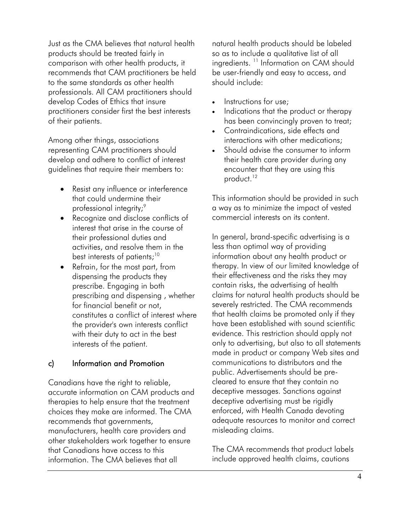Just as the CMA believes that natural health products should be treated fairly in comparison with other health products, it recommends that CAM practitioners be held to the same standards as other health professionals. All CAM practitioners should develop Codes of Ethics that insure practitioners consider first the best interests of their patients.

Among other things, associations representing CAM practitioners should develop and adhere to conflict of interest guidelines that require their members to:

- Resist any influence or interference that could undermine their professional integrity;<sup>9</sup>
- best interests of patients; $^{10}$ • Recognize and disclose conflicts of interest that arise in the course of their professional duties and activities, and resolve them in the
- Refrain, for the most part, from dispensing the products they prescribe. Engaging in both prescribing and dispensing , whether for financial benefit or not, constitutes a conflict of interest where the provider's own interests conflict with their duty to act in the best interests of the patient.

# c) Information and Promotion

Canadians have the right to reliable, accurate information on CAM products and therapies to help ensure that the treatment choices they make are informed. The CMA recommends that governments, manufacturers, health care providers and other stakeholders work together to ensure that Canadians have access to this information. The CMA believes that all

natural health products should be labeled so as to include a qualitative list of all ingredients.<sup>11</sup> Information on CAM should be user-friendly and easy to access, and should include:

- Instructions for use;
- Indications that the product or therapy has been convincingly proven to treat;
- Contraindications, side effects and interactions with other medications;
- product.<sup>12</sup> Should advise the consumer to inform their health care provider during any encounter that they are using this

This information should be provided in such a way as to minimize the impact of vested commercial interests on its content.

In general, brand-specific advertising is a less than optimal way of providing information about any health product or therapy. In view of our limited knowledge of their effectiveness and the risks they may contain risks, the advertising of health claims for natural health products should be severely restricted. The CMA recommends that health claims be promoted only if they have been established with sound scientific evidence. This restriction should apply not only to advertising, but also to all statements made in product or company Web sites and communications to distributors and the public. Advertisements should be precleared to ensure that they contain no deceptive messages. Sanctions against deceptive advertising must be rigidly enforced, with Health Canada devoting adequate resources to monitor and correct misleading claims.

The CMA recommends that product labels include approved health claims, cautions